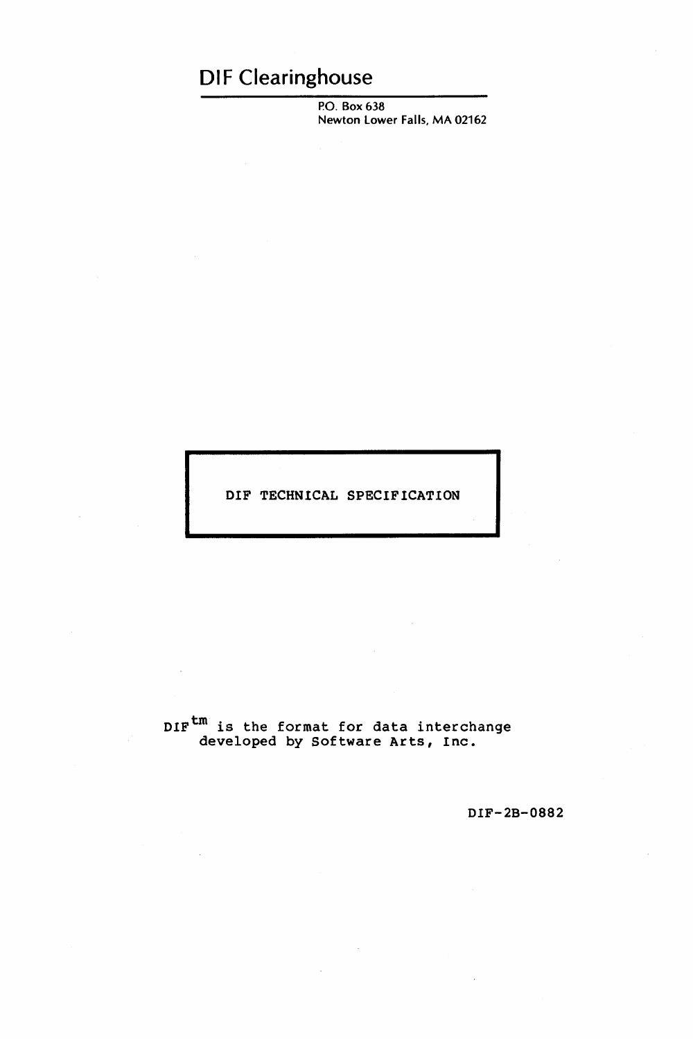# **DIF Clearinghouse**

P.O. Box 638 Newton Lower Falls, MA 02162

DIF TECHNICAL SPECIFICATION

DIF<sup>tm</sup> is the format for data interchange developed by Software Arts, Inc.

DIF-2B-0882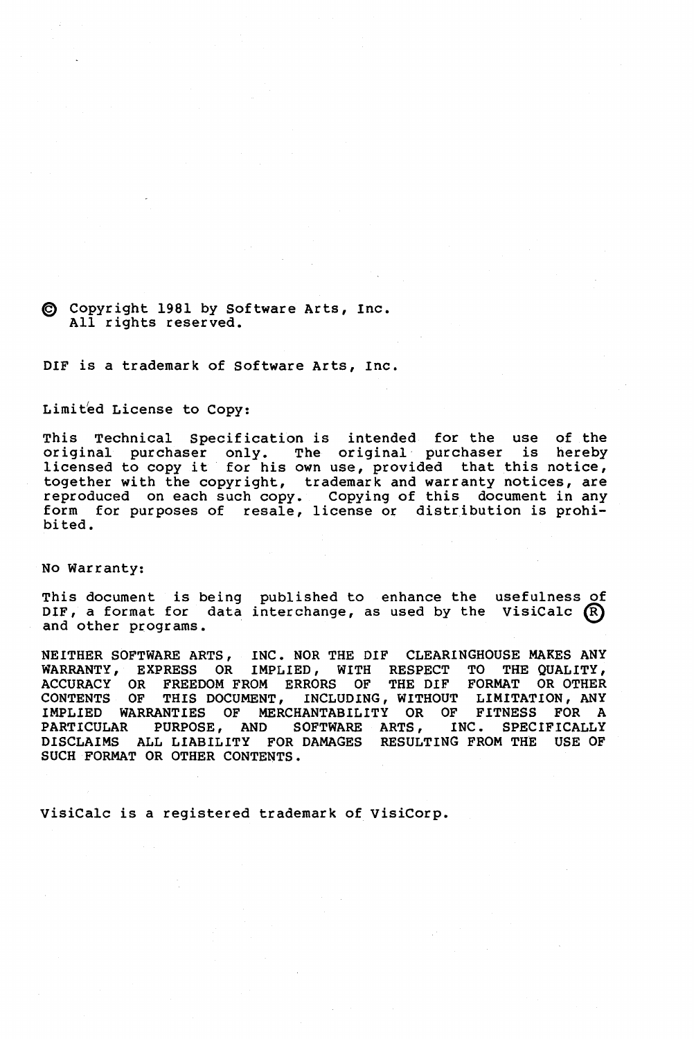#### @ Copyr ight 1981 by Software Arts, Inc. All rights reserved.

DIF is a trademark of Software Arts, Inc.

#### Limited License to Copy:

This Technical Specification is intended for the use of the original purchaser only. The original· purchaser is hereby licensed to copy it for his own use, provided that this notice, together with the copyright, trademark and warranty notices, are reproduced on each such copy. Copying of this document in any form for purposes of resale, license or distribution is prohibited.

No Warranty:

This document is being published to enhance the usefulness of This document is being published to enhance the userulness of<br>DIF, a format for data interchange, as used by the VisiCalc  $\circledR$ and other programs.

NEITHER SOFTWARE ARTS, INC. NOR THE DIF CLEARINGHOUSE MAKES ANY WARRANTY, EXPRESS OR IMPLIED, WITH RESPECT TO THE QUALITY,<br>ACCURACY OR FREEDOM FROM ERRORS OF THE DIF FORMAT OR OTHER ACCURACY OR FREEDOM FROM ERRORS OF CONTENTS OF THIS DOCUMENT, INCLUDING, WITHOUT LIMITATION, ANY IMPLIED WARRANTIES OF MERCHANTABILITY OR OF FITNESS FOR A PARTICULAR PURPOSE, AND SOFTWARE ARTS, INC. SPECIFICALLY DISCLAIMS ALL LIABILITY FOR DAMAGES RESULTING FROM THE USE OF SUCH FORMAT OR OTHER CONTENTS.

VisiCalc is a registered trademark of VisiCorp.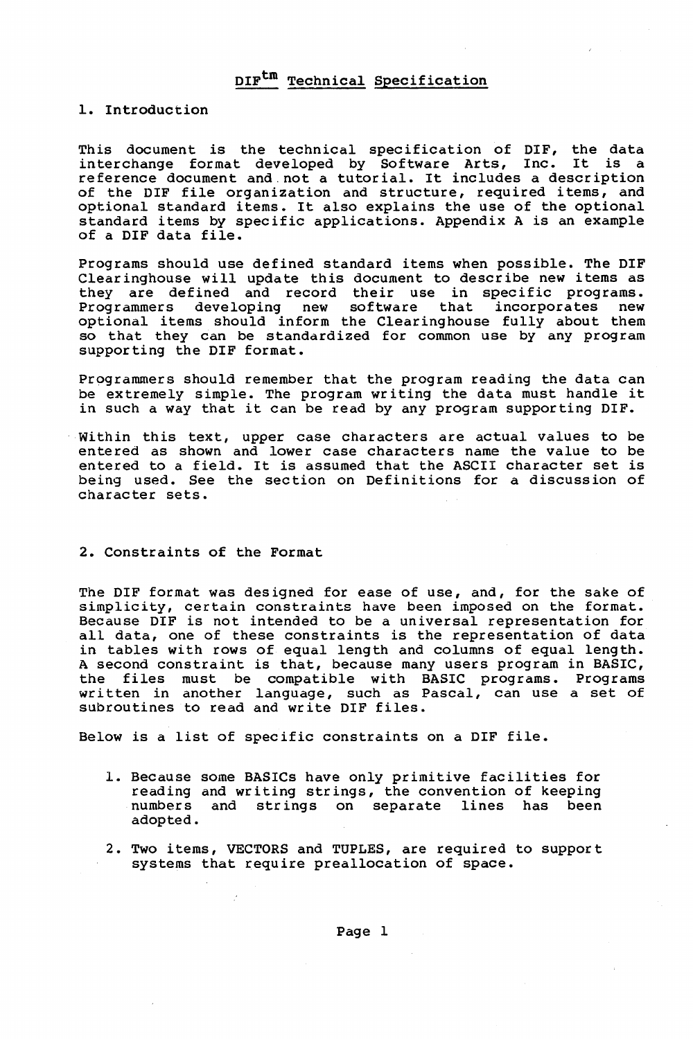#### 1. Introduction

This document is the technical specification of DIF, the data interchange format developed by Software Arts, Inc. It is a reference document and. not a tutorial. It includes a description of the DIF file organization and structure, required items, and optional standard items. It also explains the use of the optional standard items by specific applications. Appendix A is an example of a DIF data file.

Programs should use defined standard items when possible. The DIF Clearinghouse will update this document to describe new items as they are defined and record their use in specific programs. Programmers developing new software that incorporates new<br>optional items should inform the Clearinghouse fully about them so that they can be standardized for common use by any program supporting the DIF format.

Programmers should remember that the program reading the data can be extremely simple. The program writing the data must handle it in such a way that it can be read by any program supporting DIF.

Within this text, upper case characters are actual values to be entered as shown and lower case characters name the value to be entered to a field. It is assumed that the ASCII character set is being used. See the section on Definitions for a discussion of character sets.

#### 2. Constraints of the Format

The DIF format was designed for ease of use, and, for the sake of simplicity, certain constraints have been imposed on the format. Because DIF is not intended to be a universal representation for all data, one of these constraints is the representation of data in tables with rows of equal length and columns of equal length. A second constraint is that, because many users program in BASIC, the files must be compatible with BASIC programs. Programs end files made be computible with bible programs. It of the written in another language, such as Pascal, can use a set of written in another ranguage, sach as r<br>subroutines to read and write DIF files.

Below is a list of specific constraints on a DIF file.

- 1. Because some BASICs have only primitive facilities for reading and writing strings, the convention of keeping numbers and strings on separate lines has been adopted.
- 2. Two items, VECTORS and TUPLES, are required to support systems that require preallocation of space.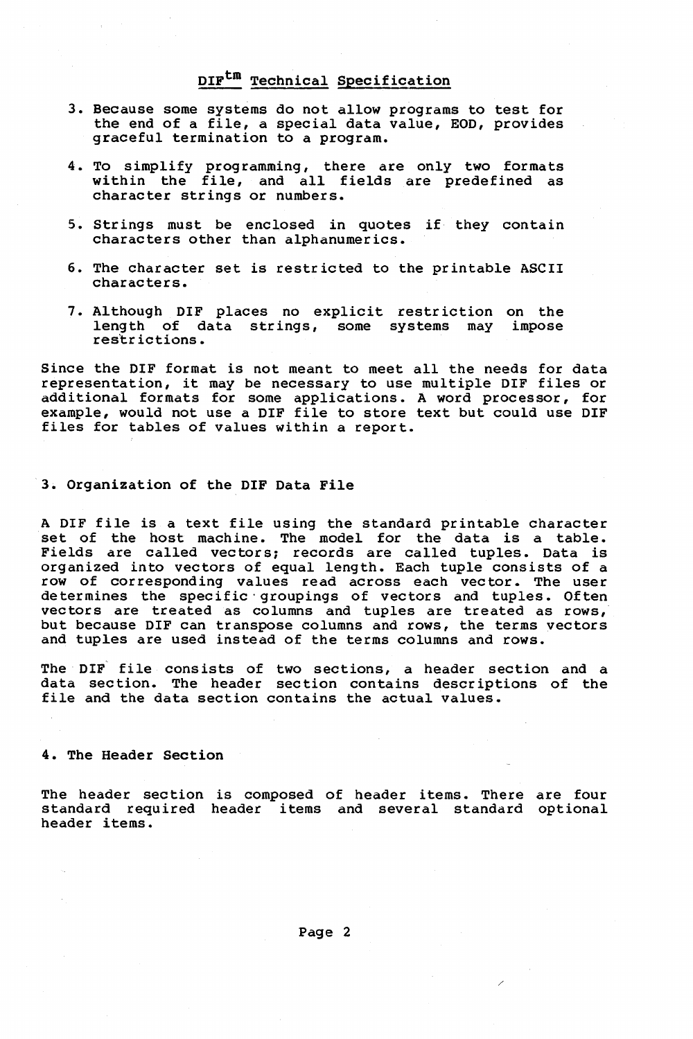- 3. Because some systems do not allow programs to test for the end of a file, a special data value, EOD, provides graceful termination to a program.
- 4. To simplify programming, there are only two formats within the file, and all fields are predefined as character strings or numbers.
- 5. Strings must be enclosed in quotes if they contain characters other than alphanumerics.
- 6. The character set is restricted to the printable ASCII characters.
- 7. Although DIF places no explicit restriction on the length of data strings, some systems may impose res'trictions.

Since the DIF format is not meant to meet all the needs for data representation, it may be necessary to use multiple DIF files or additional formats for some applications. A word processor, for example, would not use a DIF file to store text but could use DIF files for tables of values within a report.

#### 3. Organization of the DIF Data File

A DIF file is a text file using the standard printable character set of the host machine. The model for the data is a table. Fields are called vectors; records are called tuples. Data is organized into vectors of equal length. Each tuple consists of a row of corresponding values read across each vector. The user determines the specific' groupings of vectors and tuples. Often vectors are treated as columns and tuples are treated as rows, but because DIF can transpose columns and rows, the terms vectors and tuples are used instead of the terms columns and rows.

The DIF file consists of two sections, a header section and a data section. The header section contains descriptions of the file and the data section contains the actual values.

#### 4. The Header Section

The header section is composed of header items. There are four standard required header items and several standard optional header items.

Page 2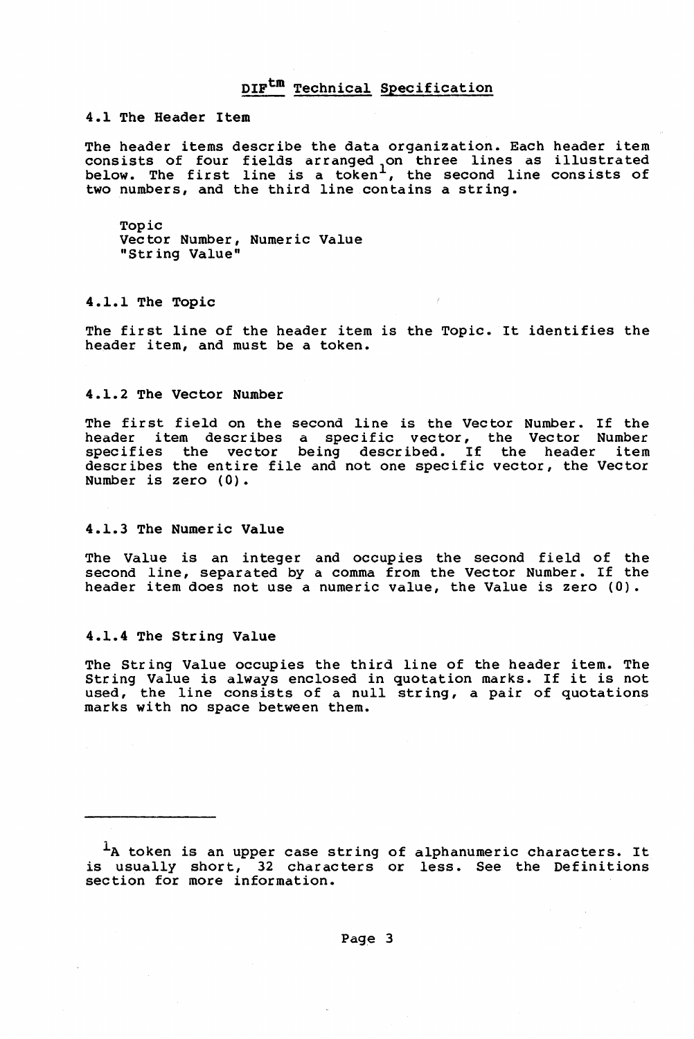4.1 The Header Item

The header items describe the data organization. Each header item ne header reems describe ene data organization: Each header reem<br>consists of four fields arranged on three lines as illustrated<br>below. The first line is a token<sup>1</sup>, the second line consists of two numbers, and the third line contains a string.

Topic vector Number, Numeric Value "String Value"

4.1.1 The Topic

The first line of the header item is the Topic. It identifies the header item, and must be a token.

#### 4.1.2 The Vector Number

The first field on the second line is the Vector Number. If the header item describes a specific vector, the Vector Number<br>specifies the vector being described. If the header item describes the entire file and not one specific vector, the Vector Number is zero (0).

#### 4.1.3 The Numeric Value

The Value is an integer and occupies the second field of the second line, separated by a comma from the Vector Number. If the header item does not use a numeric value, the Value is zero (0).

#### 4.1.4 The String Value

The String Value occupies the third line of the header item. The String Value is always enclosed in quotation marks. If it is not used, the line consists of a null string, a pair of quotations marks with no space between them.

<sup>&</sup>lt;sup>1</sup>A token is an upper case string of alphanumeric characters. It is usually short, 32 characters or less. See the Definitions section for more information.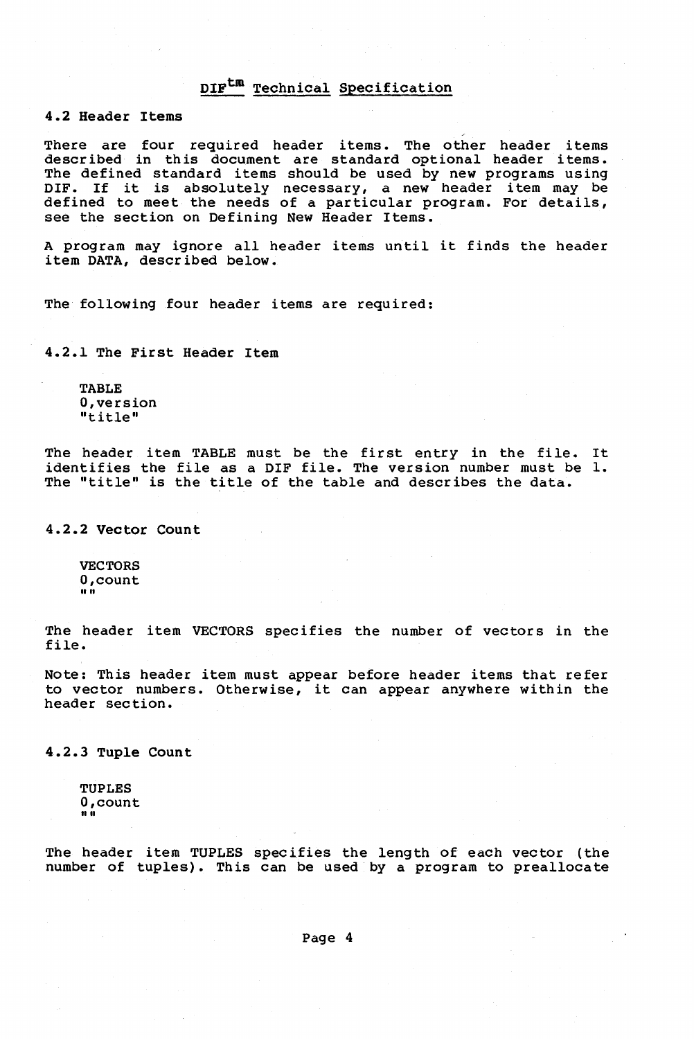4.2 Header Items

There are four required header items. The other header items described in this document are standard optional header items. The defined standard items should be used by new programs using Ine defined standard frems should be used by new programs using<br>DIF. If it is absolutely necessary, a new header item may be defined to meet the needs of a particular program. For details, see the section on Defining New Header Items.

A program may ignore all header items until it finds the header item DATA, described below.

The following four header items are required:

4.2.1 The First Header Item

TABLE O,version "title"

The header item TABLE must be the first entry in the file. It identifies the file as a DIF file. The version number must be 1. The "title" is the title of the table and describes the data.

4.2.2 Vector Count

VECTORS O,count ""

The header item VECTORS specifies the number of vectors in the file.

Note: This header item must appear before header items that refer to vector numbers. Otherwise, it can appear anywhere within the header section.

4.2.3 Tuple Count

TUPLES O,count ""

The header item TUPLES specifies the length of each vector (the number of tuples). This can be used by a program to preallocate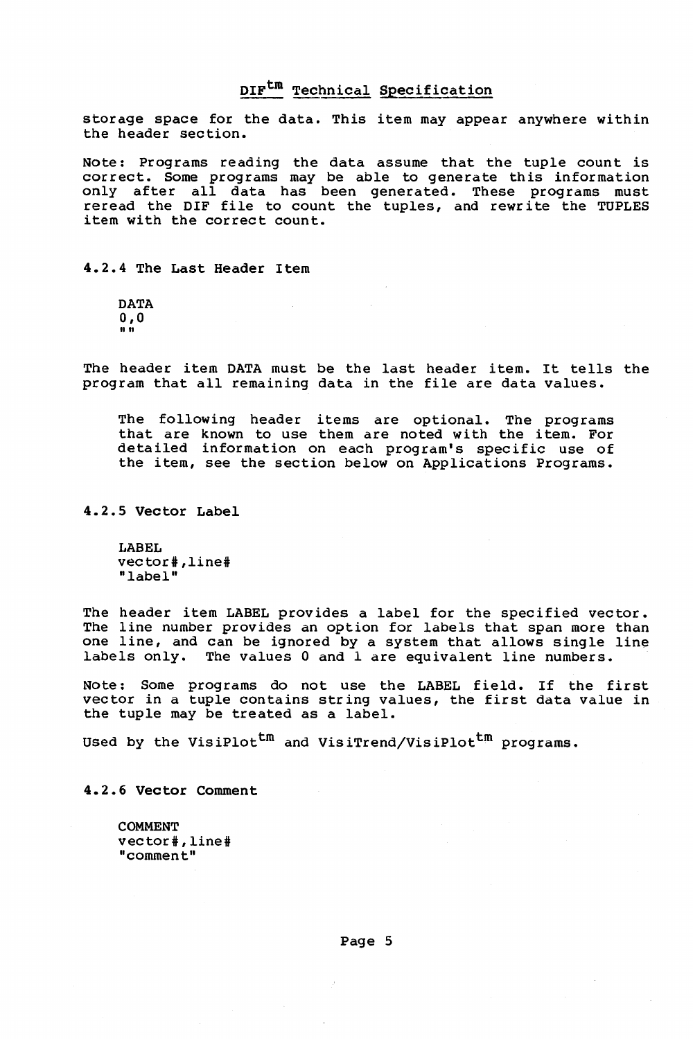storage space for the data. This item may appear anywhere within the header section.

Note: Programs reading the data assume that the tuple count is correct. Some programs may be able to generate this information only after all data has been generated. These programs must reread the DIF file to count the tuples, and rewrite the TUPLES item with the correct count.

#### 4.2.4 The Last Header Item

DATA 0,0 1111

The header item DATA must be the last header item. It tells the program that all remaining data in the file are data values.

The following header items are optional. The programs that are known to use them are noted with the item. For detailed information on each program's specific use of the item, see the section below on Applications Programs.

4.2.5 Vector Label

LABEL vector# ,line# "label"

The header item LABEL provides a label for the specified vector. The line number provides an option for labels that span more than one line, and can be ignored by a system that allows single line labels only. The values 0 and I are equivalent line numbers.

Note: Some programs do not use the LABEL field. If the first vector in a tuple contains string values, the first data value in the tuple may be treated as a label.

Used by the VisiPlot<sup>tm</sup> and VisiTrend/VisiPlot<sup>tm</sup> programs.

4.2.6 Vector Comment

COMMENT vector#,line# "comment"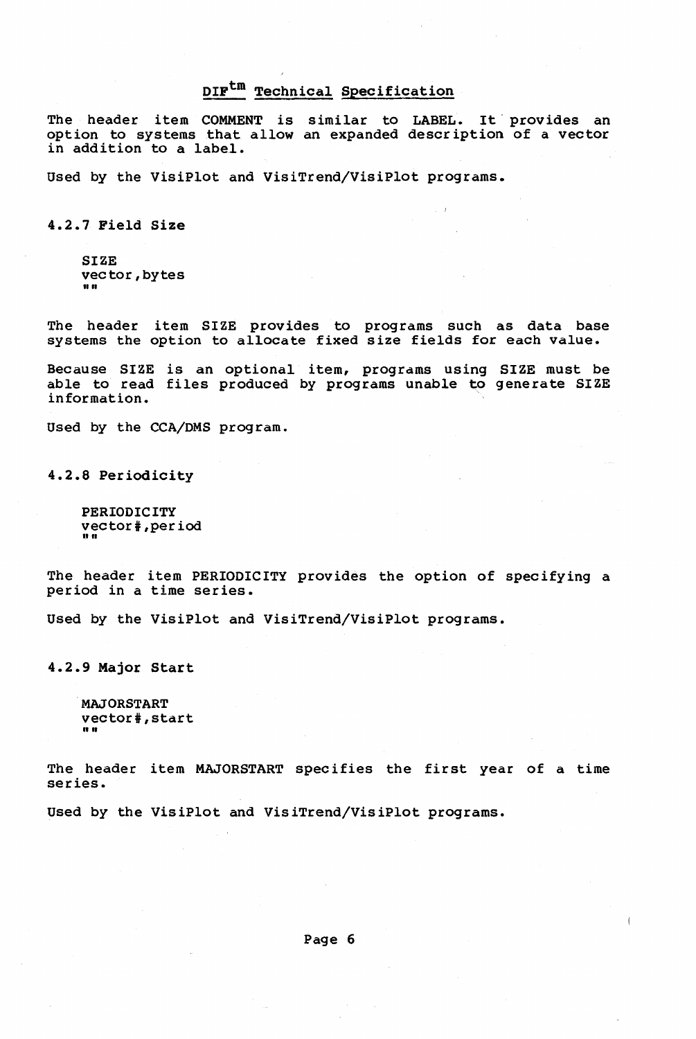The header item COMMENT is similar to LABEL. It provides an option to systems that allow an expanded descr iption of a vector in addition to a label.

Used by the VisiPlot and VisiTrend/VisiPlot programs.

4.2.7 Pield Size

**SIZE** vector, bytes

The header item SIZE provides to programs such as data base systems the option to allocate fixed size fields for each value.

Because SIZE is an optional item, programs using SIZE must be able to read files produced by programs unable to generate SIZE information.

Used by the CCA/DMS program.

4.2.8 Periodicity

PERIODICITY vector#, per iod ""

The header item PERIODICITY provides the option of specifying a period in a time series.

Used by the VisiPlot and VisiTrend/VisiPlot programs.

4.2.9 Major Start

MAJORSTART vector#, start **"** "

The header item MAJORSTART specifies the first year of a time series.

Used by the VisiPlot and VisiTrend/VisiPlot programs.

Page 6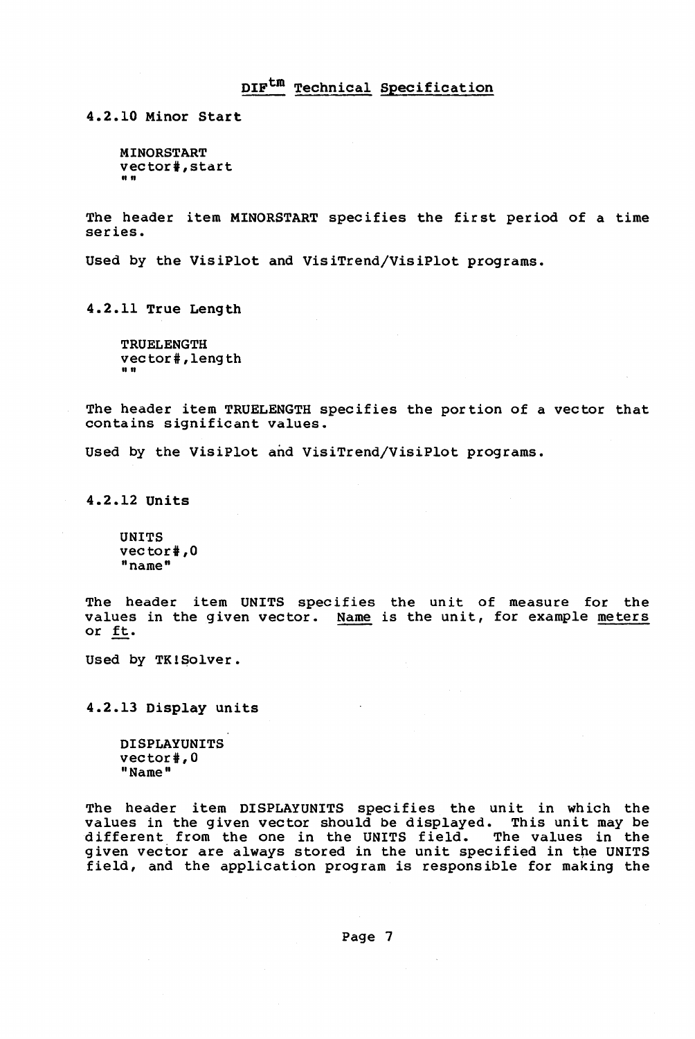4.2.10 Minor Start

MINORSTART vector#, start ""

The header item MINORSTART specifies the first period of a time series.

Used by the VisiPlot and VisiTrend/VisiPlot programs.

4.2.11 True Length

TRUELENGTH vec tor # , leng th ""

The header item TRUELENGTH specifies the portion of a vector that contains significant values.

Used by the VisiPlot and VisiTrend/VisiPlot programs.

4.2.12 Units

UNITS vector#,0 "name"

The header item UNITS specifies the unit of measure for the values in the given vector. Name is the unit, for example meters or ft.

Used by TK!Solver.

4.2.13 Display units

DISPLAYUNITS vector#,0 "Name"

The header item DISPLAYUNITS specifies the unit in which the values in the given vector should be displayed. This unit may be different from the one in the UNITS field. The values in the given vector are always stored in the unit specified in the UNITS field, and the application program is responsible for making the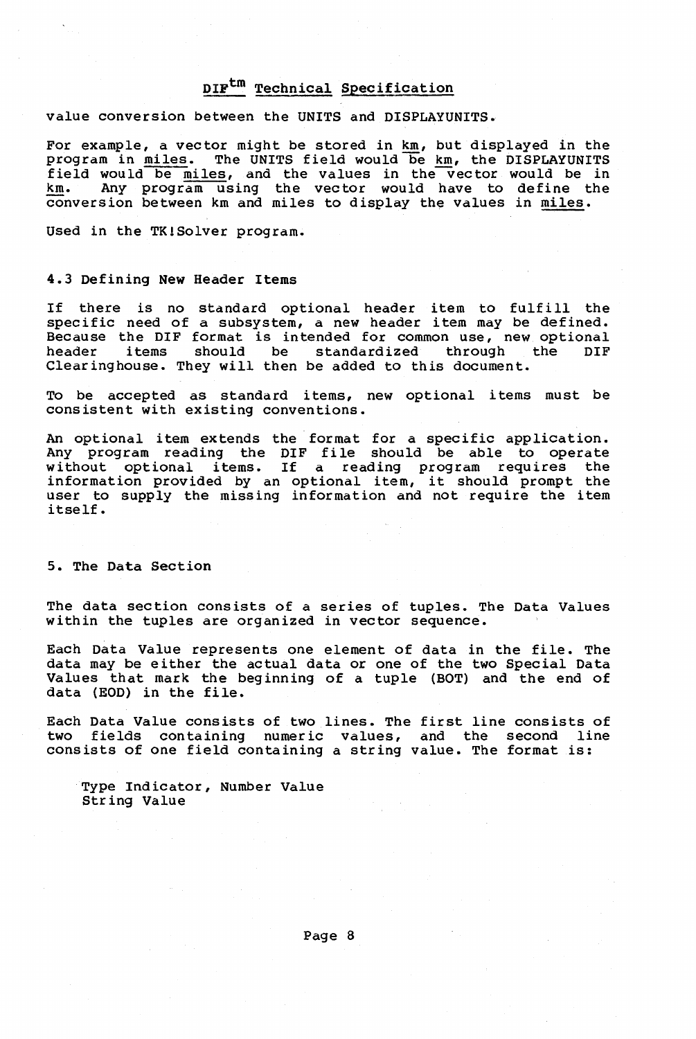value conversion between the UNITS and DISPLAYUNITS.

For example, a vector might be stored in km, but displayed in the program in miles. The UNITS field would be km, the DISPLAYUNITS field would be miles, and the values in the vector would be in km. Any programusing the vector would have to define the conversion between km and miles to display the values in miles.

Used in the TK!Solver program.

#### 4.3 Defining New Header Items

If there is no standard optional header item to fulfill the specific need of a subsystem, a new header item may be defined. Because the DIF format is intended for common use, new optional<br>header items should be standardized through the DIF should be standardized Clearinghouse. They will then be added to this document.

To be accepted as standard items, new optional items must be consistent with existing conventions.

An optional item extends the format for a specific application. Any program reading the DIF file should be able to operate without optional items. If a reading program requires the information provided by an optional item, it should prompt the user to supply the missing information and not require the item itself.

5. The Data Section

The data section consists of a series of tuples. The Data Values within the tuples are organized in vector sequence.

Each Data Value represents one element of data in the file. The data may be either the actual data or one of the two Special Data Values that mark the beg inning of a tuple (BOT) and the end of data (EOD) in the file.

Each Data Value consists of two lines. The first line consists of two fields containing numeric values, and the second line consists of one field containing a string value. The format is:

Type Indicator, Number Value String Value

Page 8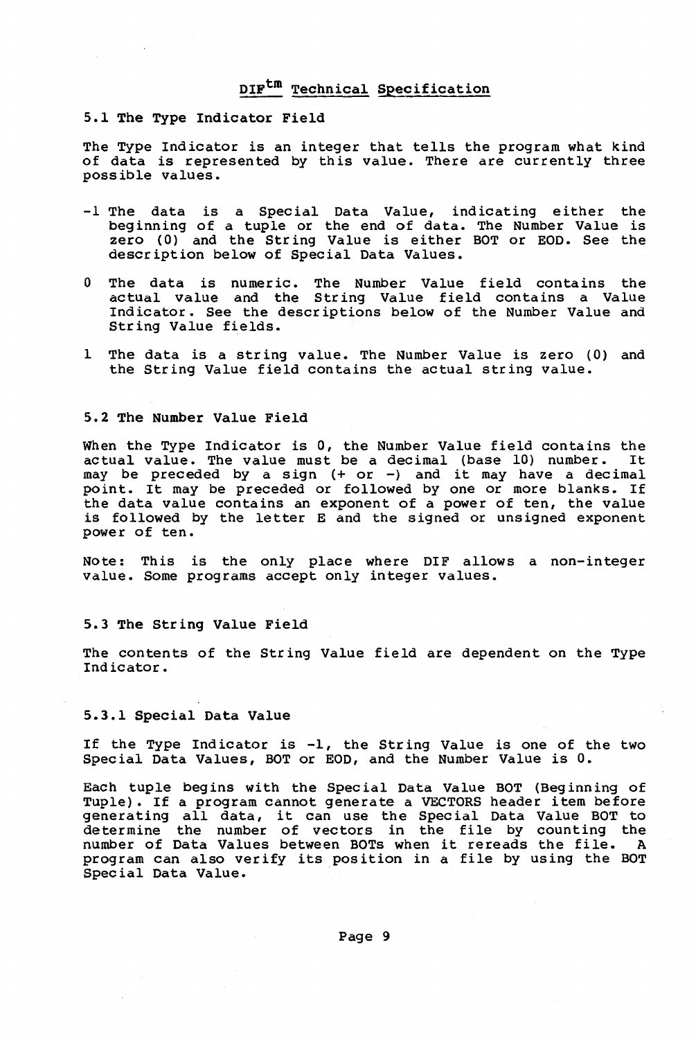#### 5.1 The Type Indicator Field

The Type Indicator is an integer that tells the program what kind of data is represented by this value. There are currently three possible values.

- -1 The data is a Special Data Value, indicating either the beginning of a tuple or the end of data. The Number Value is zero CO) and the String Value is either BOT or EOD. See the description below of Special Data Values.
- o The data is numeric. The Number Value field contains the actual value and the String Value field contains a Value Indicator. See the descriptions below of the Number Value and String Value fields.
- I The data is a string value. The Number Value is zero (0) and the String Value field contains the actual string value.

#### 5.2 The Number Value Field

When the Type Indicator is 0, the Number Value field contains the actual value. The value must be a decimal (base 10) number. It actual value. The value must be a decimal (base 10) number. may be preceded by a sign (+ or -) and it may have a decimal point. It may be preceded or followed by one or more blanks. If the data value contains an exponent of a power of ten, the value is followed by the letter E and the signed or unsigned exponent power of ten.

Note: This is the only place where DIF allows a non-integer value. Some programs accept only integer values.

#### 5.3 The String Value Field

The contents of the String Value field are dependent on the Type Indicator.

#### 5.3.1 Special Data Value

If the Type Indicator is -1, the String Value is one of the two Special Data Values, BOT or EOD, and the Number Value is O.

Each tuple begins with the Special Data Value BOT (Beginning of Tuple). If a program cannot generate a VECTORS header item before generating all data, it can use the Special Data Value BOT to determine the number of vectors in the file by counting the number of Data Values between BOTs when it rereads the file. A program can also verify its position in a file by using the BOT Special Data Value.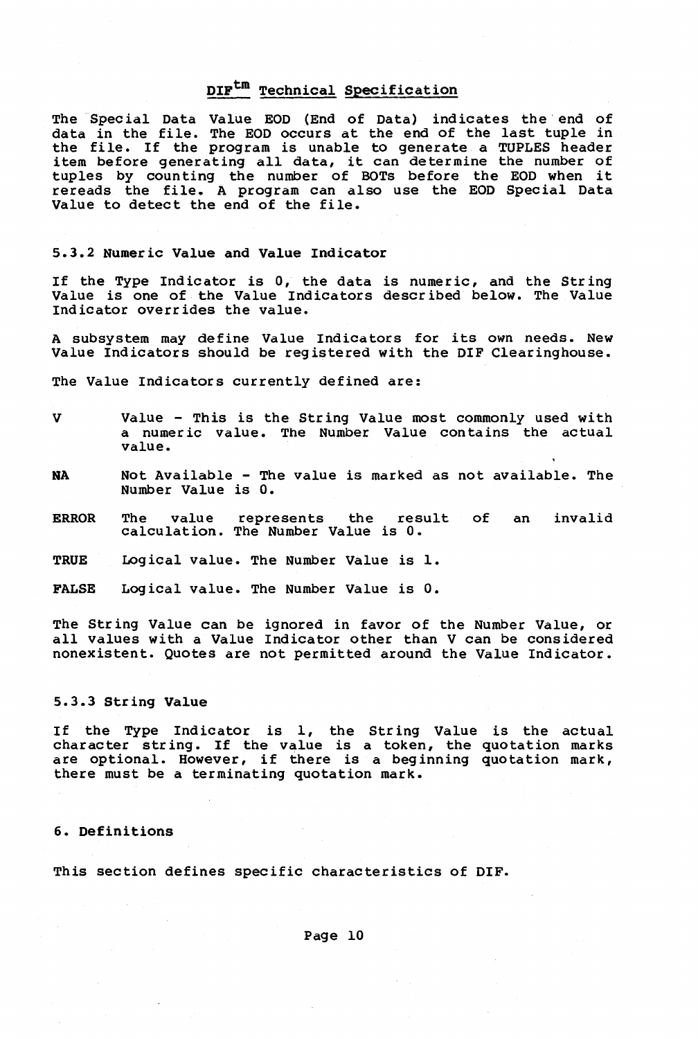The Special Data Value EOD (End of Data) indicates the' end of data in the file. The EOD occurs at the end of the last tuple in the file. If the program is unable to generate a TUPLES header item before generating all data, it can determine the number of item before generating all data, it can determine the number of<br>tuples by counting the number of BOTs before the EOD when it rereads the file. A program can also use the EOD Special Data Value to detect the end of the file.

#### 5.3.2 Numeric Value and Value Indicator

If the Type Indicator is 0, the data is numeric, and the String Value is one of the Value Indicators descr ibed below. The Value Indicator overrides the value.

A subsystem may define Value Indicators for its own needs. New Value Indicators should be registered with the DIF Clearinghouse.

The Value Indicators currently defined are:

- V Value This is the String Value most commonly used with a numeric value. The Number Value contains the actual value.
- NA Not Available The value is marked as not available. The Number Value is o.
- ERROR The value represents the result of an invalid calculation. The Number Value is o.
- TRUE Logical value. The Number Value is 1.
- FALSE Logical value. The Number Value is 0.

The String Value can be ignored in favor of the Number Value, or all values with a Value Indicator other than V can be considered nonexistent. Quotes are not permitted around the Value Indicator.

#### 5.3.3 String Value

If the Type Indicator is 1, the String Value is the actual character string. If the value is a token, the quotation marks are optional. However, if there is a beginning quotation mark, there must be a terminating quotation mark.

#### 6. Definitions

This section defines specific characteristics of DIF.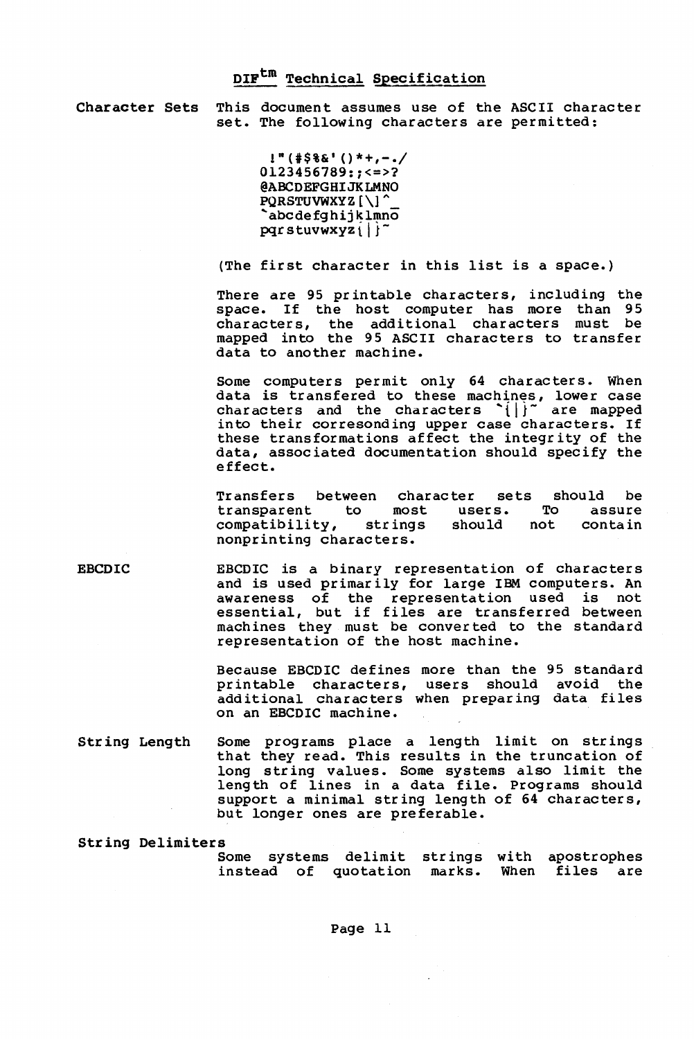Character Sets This document assumes use of the ASCII character set. The following characters are permitted:

> 1"(#\$%&1 ()\*+,-./  $0123456789:1532$ @ABCDEFGHIJKLMNO PQRSTUVWXYZ [\] 'abcdefghij klmno  $pqrstuvwxyz i ||$

(The first character in this list is a space.)

There are 95 printable characters, including the space. If the host computer has more than 95 characters, the additional characters must be mapped into the 95 ASCII characters to transfer data to another machine.

Some computers permit only 64 characters. When data is transfered to these machines, lower case<br>characters and the characters '{|}<sup>-</sup> are mapped characters and the characters  $\{ \}$  are mapped<br>into their corresonding upper case characters. If these transformations affect the integrity of the data, associated documentation should specify the effect.

Transfers between character sets should be<br>transparent to most users. To assure transparent to most users. To assure<br>compatibility, strings should not contain compatibility, strings should not nonprinting characters.

EBCDIC EBCDIC is a binary representation of characters and is used primarily for large IBM computers. An awareness of the representation used is not essential, but if files are transferred between machines they must be converted to the standard representation of the host machine.

> Because EBCDIC defines more than the 95 standard printable characters, users should avoid the additional characters when preparing data files on an EBCDIC machine.

String Length Some programs place a length limit on strings that they read. This results in the truncation of long str ing values. Some systems also limit the length of lines in a data file. Programs should support a minimal string length of 64 characters, but longer ones are preferable.

String Delimiters

.<br>Some systems delimit strings with apostrophes instead of quotation marks. When files are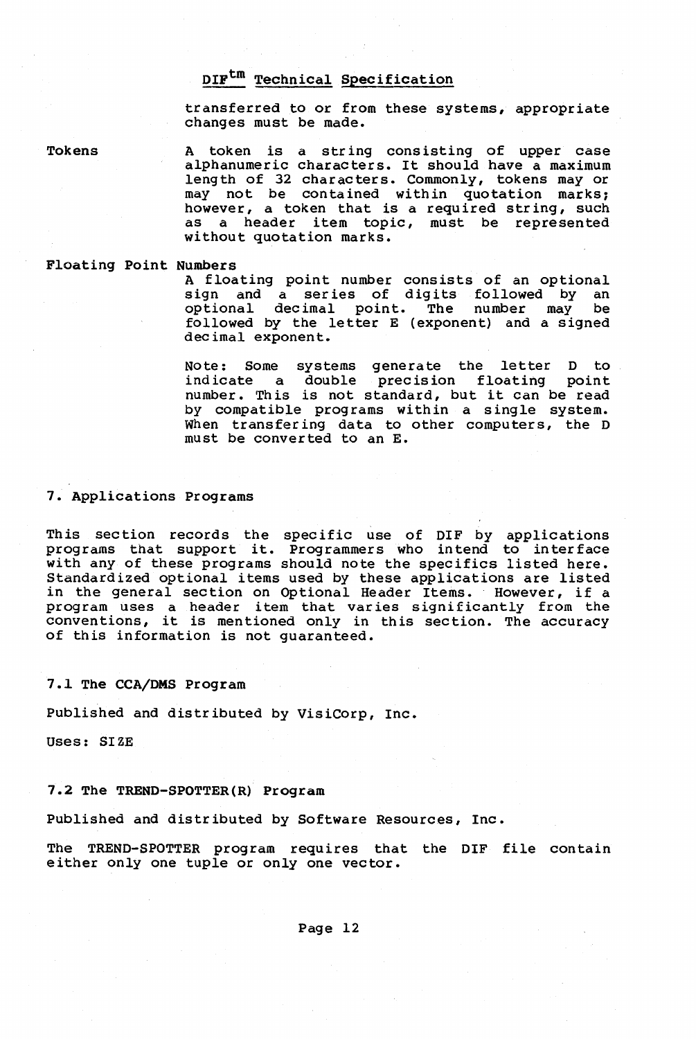transferred to or from these systems, appropriate changes must be made.

Tokens A token is a str ing cons isting of upper case alphanumeric characters. It should have a maximum length of 32 characters. Commonly, tokens may or may not be contained within quotation marks;<br>however, a token that is a required string, such as a header item topic, must be represented without quotation marks.

#### Floating Point Numbers

A floating point number consists of an optional sign and a series of digits followed by an optional dec imal point. The number may be followed by the letter E (exponent) and a signed decimal exponent.

Note: Some systems generate the letter D to indicate a double precision floating point number. This is not standard, but it can be read by compatible programs within a single system. When transfer ing data to other computers, the D must be converted to an E.

7. Applications Programs

This section records the specific use of DIF by applications programs that support it. Programmers who intend to interface with any of these programs should note the specifics listed here. Standardized optional items used by these applications are listed in the general section on Optional Header Items. However, if a program uses a header item that varies significantly from the conventions, it is mentioned only in this section. The accuracy of this information is not guaranteed.

#### 7.1 The CCA/DMS Program

Published and distributed by VisiCorp, Inc.

Uses: SIZE

#### 7.2 The TREND-SPOTTER(R) Program

Published and distributed by Software Resources, Inc.

The TREND-SPOTTER program requires that the DIF file contain either only one tuple or only one vector.

Page 12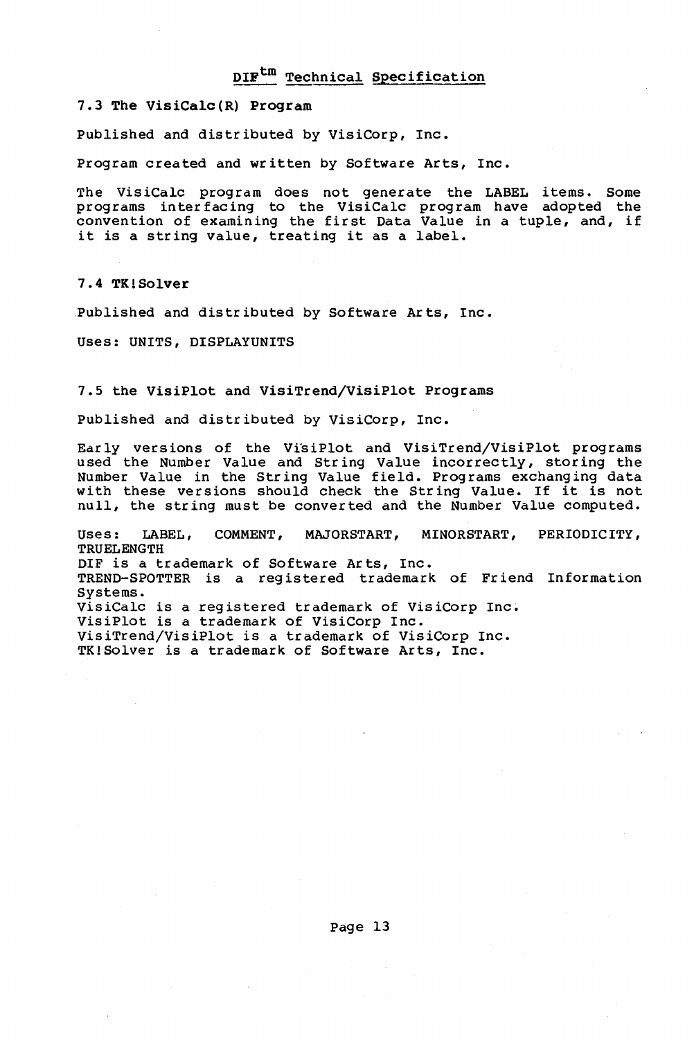### 7.3 The VisiCalc(R) Program

Published and distributed by VisiCorp, Inc.

Program created and written by Software Arts, Inc.

The VisiCalc program does not generate the LABEL items. Some programs inter facing to the VisiCalc program have adopted the convention of eXamining the first Data Value in a tuple, and, if it is a string value, treating it as a label.

7.4 TK!Solver

Published and distributed by Software Arts, Inc.

Uses: UNITS, DISPLAYUNITS

#### 7.S the VisiPlot and VisiTrend/VisiPlot Programs

Published and distributed by VisiCorp, Inc.

Ear ly versions of the Vi'siPlot and VisiTrend/VisiPlot programs used the Number Value and Str ing Value incorrectly, storing the Number Value in the String Value field. Programs exchanging data with these versions should check the String Value. If it is not null, the string must be converted and the Number Value computed.

Uses: LABEL, COMMENT, MAJORSTART, MINORSTART, PERIODICITY, TRUELENGTH DIF is a trademark of Software Arts, Inc. TREND-SPOTTER is a registered trademark of Friend Information Systems. VisiCalc is a registered trademark of VisiCorp Inc. VisiPlot is a trademark of VisiCorp Inc. VisiTrend/VisiPlot is a trademark of VisiCorp Inc. TK!Solver is a trademark of Software Arts, Inc.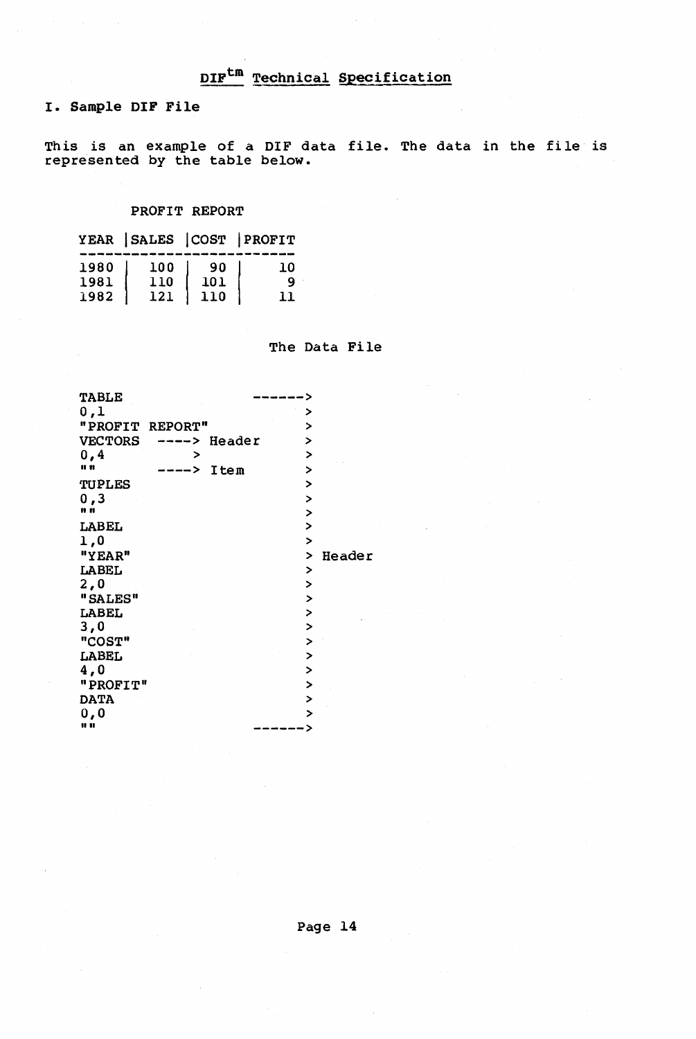I. Sample DIF File

This is an example of a DIF data file. The data in the file is represented by the table below.

### PROFIT REPORT

|      | YEAR SALES COST PROFIT |     |     |
|------|------------------------|-----|-----|
| 1980 | 100                    | -90 | 0 ב |
| 1981 | 110                    | 101 | ۰Q  |
| 1982 | 121                    | 110 | 11  |

The Data File

| <b>TABLE</b>    |   |             |                   |        |
|-----------------|---|-------------|-------------------|--------|
| 0,1             |   |             | >                 |        |
| "PROFIT REPORT" |   |             | >                 |        |
| <b>VECTORS</b>  |   | ---> Header | ⋗                 |        |
| 0,4             | > |             | $\geq$            |        |
| <b>II 11</b>    |   | Item        | >                 |        |
| <b>TUPLES</b>   |   |             | >                 |        |
| 0, 3            |   |             | $\mathbf{\bar{}}$ |        |
| n m             |   |             | $\geq$            |        |
| LABEL           |   |             | $\mathbf{L}$      |        |
| 1,0             |   |             | $\overline{ }$    |        |
| "YEAR"          |   |             | >                 | Header |
| <b>LABEL</b>    |   |             | >                 |        |
| 2,0             |   |             | >                 |        |
| "SALES"         |   |             | ⋗                 |        |
| LABEL           |   |             | $\mathbf{r}$      |        |
| 3,0             |   |             | $\overline{ }$    |        |
| "COST"          |   |             | $\overline{ }$    |        |
| LABEL           |   |             | >                 |        |
| 4,0             |   |             | ⋗                 |        |
| "PROFIT"        |   |             | $\overline{ }$    |        |
| <b>DATA</b>     |   |             | >                 |        |
| 0,0             |   |             | >                 |        |
|                 |   |             |                   |        |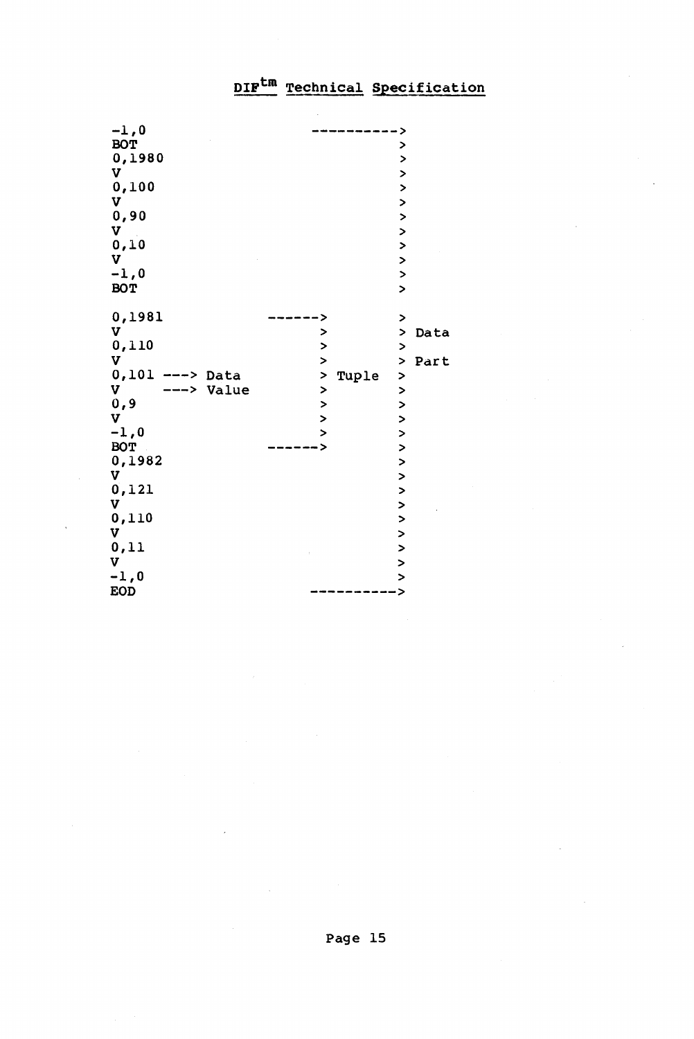| $-1,0$               |                |                |      |
|----------------------|----------------|----------------|------|
| <b>BOT</b>           |                | >              |      |
| 0,1980               |                | $\overline{ }$ |      |
| v                    |                | >              |      |
| 0,100                |                | $\mathbf{L}$   |      |
| $\mathbf v$          |                | $\mathbf{L}$   |      |
| 0,90                 |                | $\overline{ }$ |      |
| $\mathbf v$          |                | $\mathbf{A}$   |      |
| 0, 10                |                | $\overline{ }$ |      |
| v                    |                | $\mathbf{z}$   |      |
| $-1,0$               |                | $\mathbf{z}$   |      |
| <b>BOT</b>           |                | $\mathbf{r}$   |      |
|                      |                |                |      |
| 0,1981               | >              | $\mathbf{r}$   |      |
| v                    | >              | >              | Data |
| 0,110                | $\mathbf{L}$   | $\mathbf{z}$   |      |
| v                    | >              | $\,$           | Part |
| $0,101$ ---><br>Data | ><br>Tuple     | $\mathbf{L}$   |      |
| v<br>Value           | $\mathbf{L}$   | $\mathbf{L}$   |      |
| 0, 9                 | $\overline{ }$ | $\geq$         |      |
| $\mathbf v$          | $\mathbf{r}$   | $\rightarrow$  |      |
| $-1,0$               | $\overline{ }$ | $\mathbf{L}$   |      |
| <b>BOT</b>           | >              | $\mathbf{L}$   |      |
| 0,1982               |                | $\overline{ }$ |      |
| v                    |                | $\mathbf{L}$   |      |
| 0,121                |                | $\mathbf{L}$   |      |
| v                    |                | >              |      |
| 0,110                |                | $\overline{ }$ |      |
| v                    |                | >              |      |
| 0, 11                |                | $\geq$         |      |
| v                    |                | $\geq$         |      |
| $-1,0$               |                | $\mathbf{r}$   |      |
| <b>EOD</b>           |                | >              |      |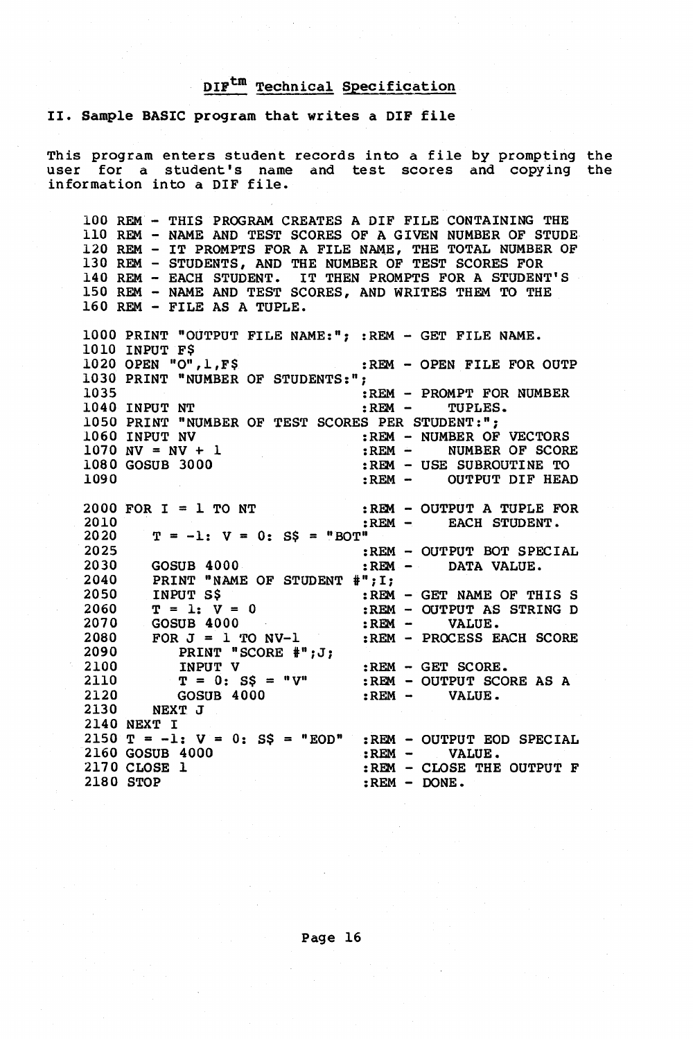#### II. Sample BASIC program that writes a DIF file

This program enters student records into a file by prompting the user for a student's name and test scores and copying the information into a DIF file.

100 REM - THIS PROGRAM CREATES A DIF FILE CONTAINING THE 110 REM - NAME AND TEST SCORES OF A GIVEN NUMBER OF STUDE 120 REM - IT PROMPTS FOR A FILE NAME, THE TOTAL NUMBER OF 130 REM - STUDENTS, AND THE NUMBER OF TEST SCORES FOR 140 REM - EACH STUDENT. IT THEN PROMPTS FOR A STUDENT'S 150 REM - NAME AND TEST SCORES, AND WRITES THEM TO THE 160 REM - FILE AS A TUPLE.

1000 PRINT "OUTPUT FILE NAME:"; :REM - GET FILE NAME. 1010 INPUT F\$<br>1020 OPEN "O", 1, F\$ :REM - OPEN FILE FOR OUTP 1030 PRINT "NUMBER OF STUDENTS:";<br>1035 :REM - PROMPT FOR NUMBER<br>:REM - TUPLES. 1040 INPUT NT 1050 PRINT "NUMBER OF TEST SCORES PER STUDENT:";<br>1060 INPUT NV :REM - NUMBER OF 1060 INPUT NV :REM - NUMBER OF VECTORS 1070 NV = NV + 1 :REM - NUMBER OF SCORE<br>1080 GOSUB 3000 :REM - USE SUBROUTINE TO 1080 GOSUB 3000 :REM - USE SUBROUTINE TO <br>1090 :REM - OUTPUT DIF HEAL :REM - OUTPUT DIF HEAD 2000 FOR  $I = 1$  TO NT :REM - OUTPUT A TUPLE FOR 2010 :REM - EACH STUDENT. EACH STUDENT. 2020 2025<br>2030  $T = -1$ :  $V = 0$ :  $SS = "BOT"$ :REM - OUTPUT BOT SPECIAL<br>:REM - DATA VALUE. 2030 GOSUB 4000 :REM - DATA VALUE.<br>2040 PRINT "NAME OF STUDENT #":I:  $2040$  PRINT "NAME OF STUDENT  $\#$ "; I;<br>2050 INPUT SS : REM 2050 INPUT S\$<br>2060 T = 1: V 2060  $T = 1: V = 0$ <br>2070 GOSUB 4000  $2070$  GOSUB  $4000$ <br> $2080$  FOR  $J = 1$  TO  $R$ 2080 FOR  $J = 1$  TO NV-1<br>2090 PRINT "SCORE #"  $2090$  PRINT "SCORE #";J;<br>2100 TNPUT V 2100 INPUT V<br>2110 T = 0: 8 2110  $T = 0$ :  $S\$  = " $V''$ <br>2120  $GOSUB$  4000 2120 GOSUB 4000<br>2130 NEXT J NEXT J 2140 NEXT I 2150 T = -1: <sup>V</sup> 0: S\$ "EOD" :REM - OUTPUT EOD SPECIAL : REM - VALUE. 2160 GOSUB 4000 2170 CLOSE 1 2180 STOP :REM - GET NAME OF THIS S :REM - OUTPUT AS STRING D :REM - VALUE. :REM - PROCESS EACH SCORE :REM - GET SCORE. :REM - OUTPUT SCORE AS A<br>:REM - VALUE.  $:$  REM  $-$ :REM - CLOSE THE OUTPUT F :REM - DONE.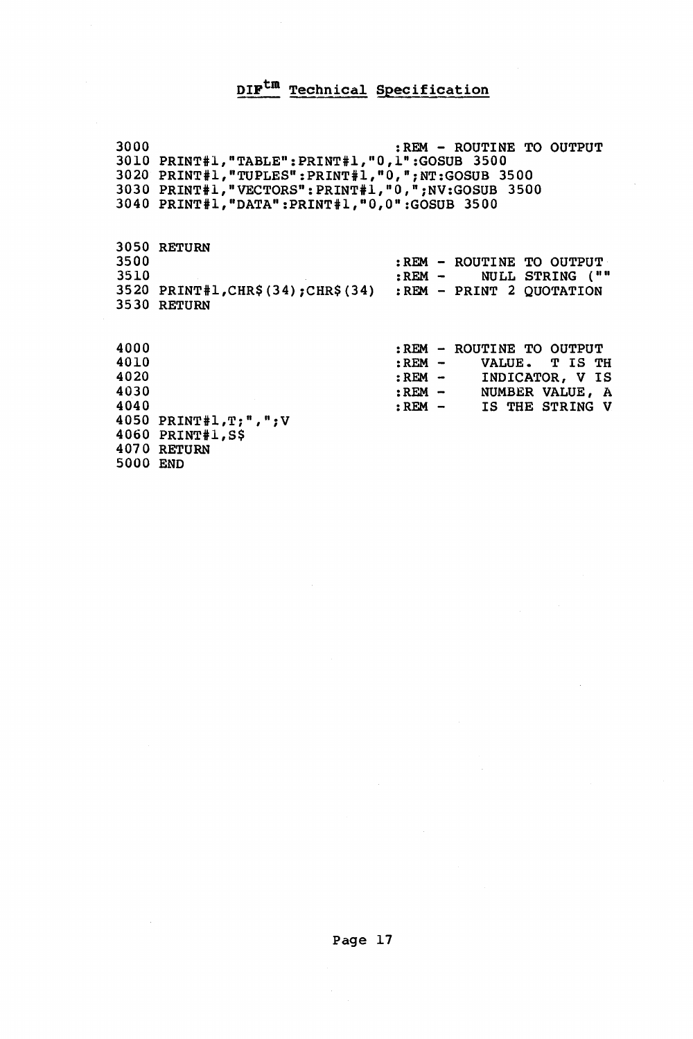# $DIF^{tm}$  Technical Specification

| 3000     |                                                              | :REM - ROUTINE TO OUTPUT      |  |
|----------|--------------------------------------------------------------|-------------------------------|--|
|          | 3010 PRINT#1, "TABLE": PRINT#1, "0, 1": GOSUB 3500           |                               |  |
|          | 3020 PRINT#1, "TUPLES": PRINT#1, "0, "; NT: GOSUB 3500       |                               |  |
|          | 3030 PRINT#1,"VECTORS":PRINT#1,"0,";NV:GOSUB 3500            |                               |  |
|          | 3040 PRINT#1,"DATA":PRINT#1,"0,0":GOSUB 3500                 |                               |  |
|          |                                                              |                               |  |
|          |                                                              |                               |  |
|          | <b>3050 RETURN</b>                                           |                               |  |
| 3500     |                                                              | :REM - ROUTINE TO OUTPUT      |  |
| 3510     |                                                              | <b>:REM - NULL STRING (""</b> |  |
|          | 3520 PRINT#1, CHR\$(34): CHR\$(34) : REM - PRINT 2 OUOTATION |                               |  |
|          | 3530 RETURN                                                  |                               |  |
|          |                                                              |                               |  |
|          |                                                              |                               |  |
| 4000     |                                                              | :REM - ROUTINE TO OUTPUT      |  |
| 4010     |                                                              | $:$ REM $-$<br>VALUE. T IS TH |  |
| 4020     |                                                              | :REM - INDICATOR, V IS        |  |
| 4030     |                                                              | :REM - NUMBER VALUE, A        |  |
| 4040     |                                                              | REM - IS THE STRING V         |  |
|          | 4050 PRINT#1,T;",";V                                         |                               |  |
|          | 4060 PRINT#1,S\$                                             |                               |  |
|          | 4070 RETURN                                                  |                               |  |
| 5000 END |                                                              |                               |  |
|          |                                                              |                               |  |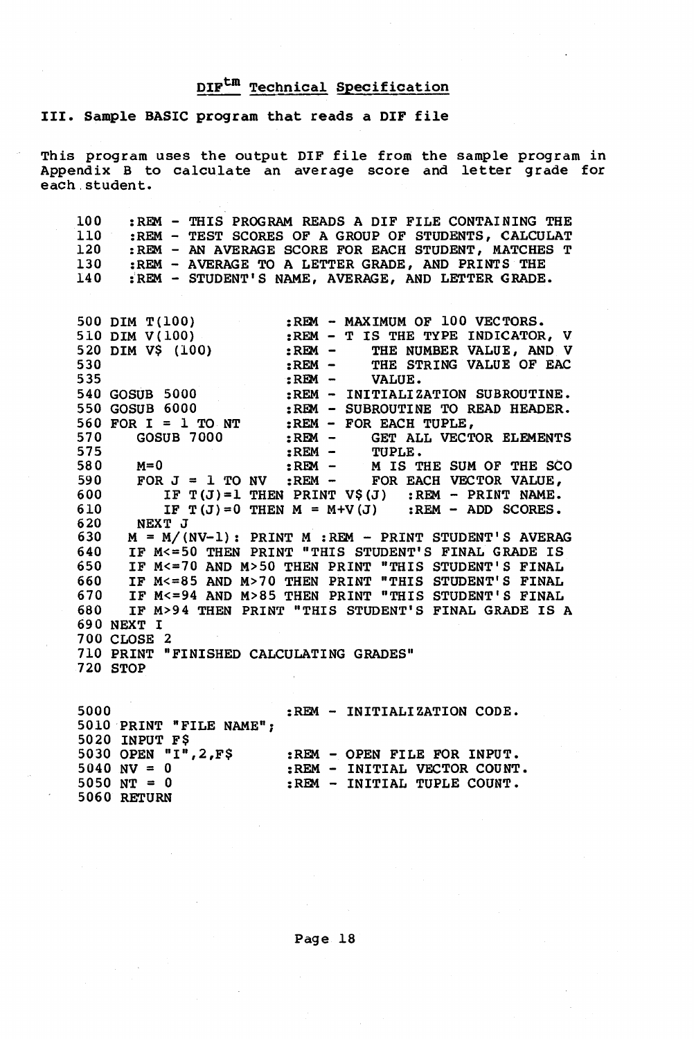III. Sample BASIC program that reads a DIF file

This program uses the output DIF file from the sample program in Appendix B to calculate an average score and letter grade for each. student.

| 100 |  | :REM - THIS PROGRAM READS A DIF FILE CONTAINING THE |
|-----|--|-----------------------------------------------------|
| 110 |  | :REM - TEST SCORES OF A GROUP OF STUDENTS, CALCULAT |
| 120 |  | :REM - AN AVERAGE SCORE FOR EACH STUDENT, MATCHES T |
| 130 |  | :REM - AVERAGE TO A LETTER GRADE. AND PRINTS THE    |
| 140 |  | : REM - STUDENT'S NAME, AVERAGE, AND LETTER GRADE.  |

500 DIM T(100) :REM - MAXIMUM OF 100 VECTORS.<br>510 DIM V(100) :REM - T IS THE TYPE INDICATOR 510 DIM V(100) :REM - T IS THE TYPE INDICATOR, V 520 DIM V\$ (100) :REM - THE NUMBER VALUE, AND V 530 : REM - THE STRING VALUE OF EAC<br>535 : REM - VALUE. 535 :REM -<br>540 GOSUB 5000 :REM - I 540 GOSUB 5000 :REM - INITIALIZATION SUBROUTINE.<br>550 GOSUB 6000 :REM - SUBROUTINE TO READ HEADER. 550 GOSUB 6000 :REM - SUBROUTINE TO READ HEADER.<br>560 FOR I = 1 TO NT :REM - FOR EACH TUPLE, 560 FOR I = 1 TO NT : REM - FOR EACH TUPLE,<br>570 GOSUB 7000 : REM - GET ALL VECT 570 GOSUB 7000 :REM - GET ALL VECTOR ELEMENTS<br>575 :REM - TUPLE. 575 :REM - TUPLE. 580 M=O :REM - M IS THE SUM OF THE *SeO*  590 FOR J = 1 TO NV : REM - FOR EACH VECTOR VALUE, 590 FOR  $J = 1$  TO NV : REM - FOR EACH VECTOR VALUE,<br>600 IF T(J)=1 THEN PRINT V\$(J) : REM - PRINT NAME.<br>610 TF T(J)=0 THEN M = M+V(J) : REM - ADD SCORES. 610 IF  $T(J)=0$  THEN  $M = M+V(J)$  : REM - ADD SCORES.<br>620 NEXT J 620 NEXT J<br>630 M = M/(1) 630 M = M/(NV-1): PRINT M :REM - PRINT STUDENT'S AVERAG 640 IF M<=50 THEN PRINT "THIS STUDENT'S FINAL GRADE IS 650 IF M<=70 AND M>50 THEN PRINT "THIS STUDENT'S FINAL 660 IF M<=85 AND M>70 THEN PRINT "THIS STUDENT'S FINAL 670 IF M<=94 AND M>85 THEN PRINT "THIS STUDENT'S FINAL 680 IF M>94 THEN PRINT "THIS STUDENT'S FINAL GRADE IS IF M>94 THEN PRINT "THIS STUDENT'S FINAL GRADE IS A 690 NEXT I 700 CLOSE 2 710 PRINT "FINISHED CALCULATING GRADES" 720 STOP

5000 5010 PRINT "FILE NAME"; 5020 INPUT F\$ 5030 OPEN "I",2,F\$ :REM - OPEN FILE FOR INPUT.  $5040 \text{ NV} = 0$ 5050 NT = 0 5060 RETURN :REM - INITIALIZATION CODE. :REM - INITIAL VECTOR COUNT. :REM - INITIAL TUPLE COUNT.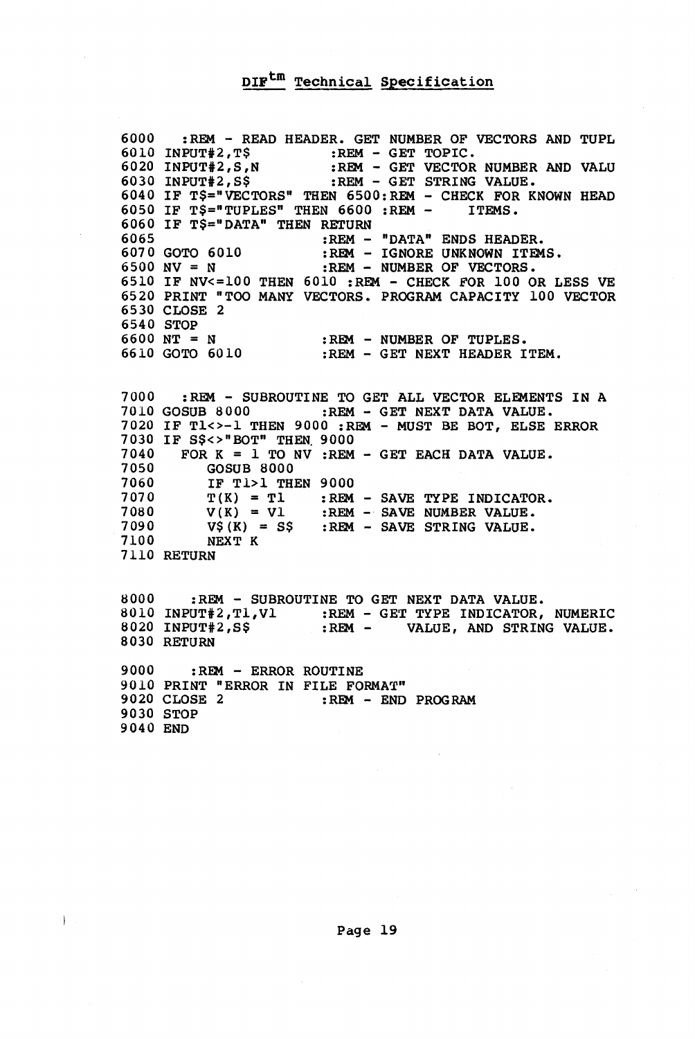6000  $6010$  INPUT#2,T\$ :REM - GET TOPIC. 6020 INPUT#2, S, N 6030 INPUT#2, S\$ 6040 IF T\$="VECTORS" THEN 6500:REM - CHECK FOR KNOWN HEAD 6050 IF T\$="TUPLES" THEN 6600 :REM - ITEMS. 6060 IF T\$="DATA" THEN RETURN 6065 :REM - READ HEADER. GET NUMBER OF VECTORS AND TUPL :REM - GET VECTOR NUMBER AND VALU :REM - GET STRING VALUE. 6070 GOTO 6010  $6500 \text{ NV} = \text{N}$ 6510 IF NV<=100 THEN 6010 :REM - CHECK FOR 100 OR LESS VE 6520 PRINT "TOO MANY VECTORS. PROGRAM CAPACITY 100 VECTOR 6530 CLOSE 2 6540 STOP 6600 NT = N 6610 GOTO 6010 :REM - "DATA" ENDS HEADER. :REM - IGNORE UNKNOWN ITEMS. :REM - NUMBER OF VECTORS. :REM - NUMBER OF TUPLES. :REM - GET NEXT HEADER ITEM.

7000 : REM - SUBROUTINE TO GET ALL VECTOR ELEMENTS IN A<br>7010 GOSUB 8000 : REM - GET NEXT DATA VALUE. :REM - GET NEXT DATA VALUE. 7020 IF Tl<>-l THEN 9000 :REM - MUST BE BOT, ELSE ERROR 7030 IF S\$<>"BOT" THEN 9000<br>7040 FOR K = 1 TO NV :REM  $7040$  FOR K = 1 TO NV :REM - GET EACH DATA VALUE.<br> $7050$  GOSUB 8000 7050 GOSUB 8000 7060 IF Tl>l THEN 9000  $7070$   $T(K) = T1$  : REM - SAVE TYPE INDICATOR. 7080  $V(K) = VI$ <br>7090  $VS(K) = SS$ 7090 V\$(K) = S\$ :REM - SAVE STRING VALUE. 7100 NEXT K 7110 RETURN :REM - SAVE NUMBER VALUE.

8000 :REM - SUBROUTINE TO GET NEXT DATA VALUE. 8010 INPUT#2, T1, V1 : REM - GET TYPE INDICATOR, NUMERIC<br>8020 INPUT#2, S\$ : REM - VALUE, AND STRING VALUE. VALUE, AND STRING VALUE. 8030 RETURN 9000 :REM - ERROR ROUTINE 9010 PRINT "ERROR IN FILE FORMAT"<br>9020 CLOSE 2 :REM - END

:REM - END PROGRAM 9030 STOP 9040 END

 $\Big)$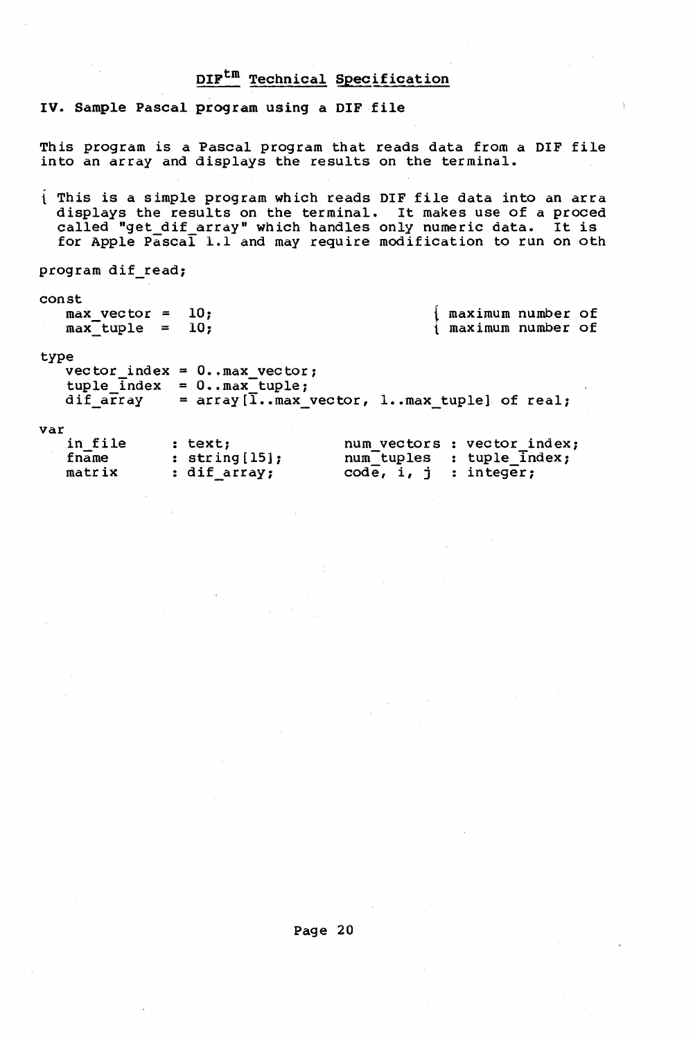IV. Sample Pascal program using a DIF file

This program is a Pascal program that reads data from a DIF file into an array and displays the results on the terminal.

This is a simple program which reads DIF file data into an arra displays the results on the terminal. It makes use of a proced called "get dif array" which handles only numeric data. It is for Apple  $P\overline{a}$ sca $\overline{1}$  1.1 and may require modification to run on oth

program dif\_read;

const max vector 10;  $max_{\text{tuple}} = 10;$ 

{ maximum number of t maximum number of

#### type

 $vec{c}$  index =  $0 \cdot .max\_vec{c}$ ;  $tuple_index = 0.\nmax_tuple;$ dif\_array =  $array$  =  $array[1cm]$  =  $array$  =  $array[1cm]$ 

#### var

| in file | : text:          |                         | num vectors : vector index; |
|---------|------------------|-------------------------|-----------------------------|
| fname   | : $string[15]$ ; |                         | num_tuples : tuple Index;   |
| matrix  | : dif array;     | $code, i, j$ : integer; |                             |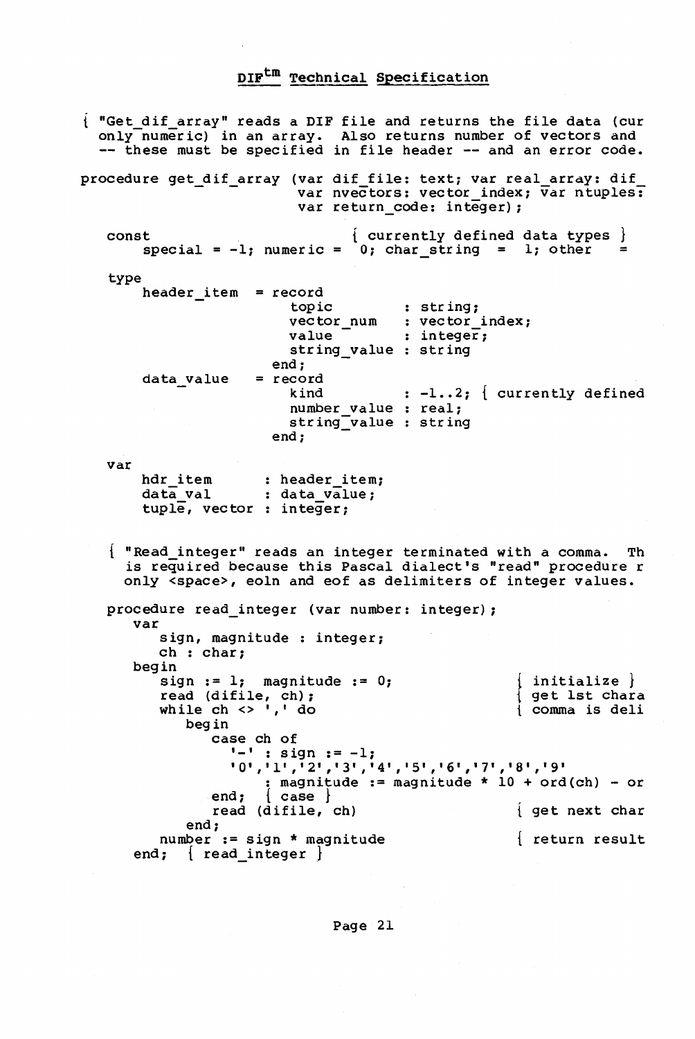"Get dif array" reads a DIF file and returns the file data (cur only-numeric) in an array. Also returns number of vectors and -- these must be specified in file header -- and an error code. procedure get\_dif\_array (var dif file: text; var real array: dif var nvectors: vector index; var ntuples: var return code: integer); const  $special = -1; numeric = 0; char\_string = 1; other$  $\{$  currently defined data types  $\}$ type var header\_item = record data value hdr item data val tuple, vector integer; topic vector\_num : vector\_index; value string\_value : string end; = record kind number\_value : real; string-value string end; : header\_item; data value; str ing; integer;  $: -1 \ldots 2;$  currently defined "Read integer" reads an integer terminated with a comma. Th is required because this Pascal dialect's "read" procedure r only <space>, eoln and eof as delimiters of integer values. procedure read\_integer (var number: integer); var sign, magnitude : integer; ch : char; begin sign  $:= 1$ ; magnitude  $:= 0$ ; read (difile, ch);<br>while ch <> ',' do begin case ch of { initialize } { get 1st chara t comma is deli  $'$ -' : sign  $:= -1;$ '0','1','2','3','4','5','6','7','8','9' : magnitude := magnitude \*  $10 + \text{ord}(\text{ch})$  $:$  magnitude  $:$  = magnitude \* 10 + ord(ch) - or end; { case } read (difile, ch) end; number := sign \* magnitude end;  $\{$  read integer  $\}$ get next char return result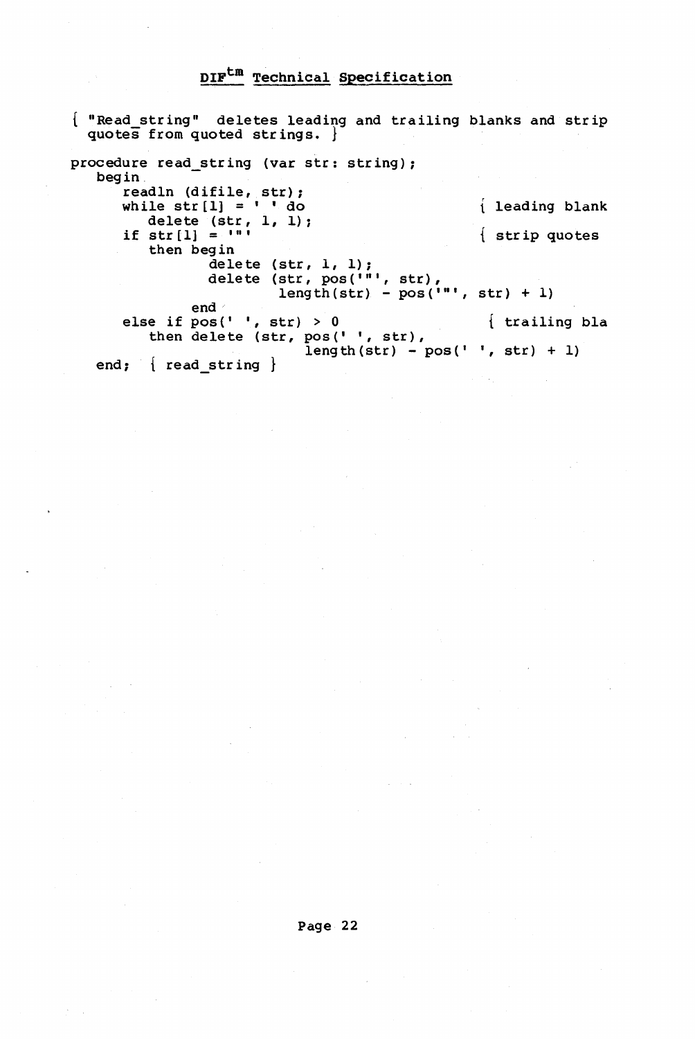{ "Read string" deletes leading and trailing blanks and strip quotes from quoted str ings. } procedure read\_string (var str: string);<br>begin readln (difile, str); while  $str(1) = \frac{1}{2}$  do leading blank delete  $(\text{str}, 1, 1)$ ; if str[1] =  $\left\{\text{strip quotes}\right\}$ <br>then begin then begin then begin<br>delete ( $str, 1, 1$ ); delete (str,  $pos('")$ , str), length(str) -  $pos("")$ , str) + 1) end· else if  $pos(' ', str) > 0$  { trailing bla then delete (str, pos $'$ , str),  $\frac{\log(1 + \log t)}{\log(t) - \log(1 + \log t) + 1}$ end;  $\{$  read string  $\}$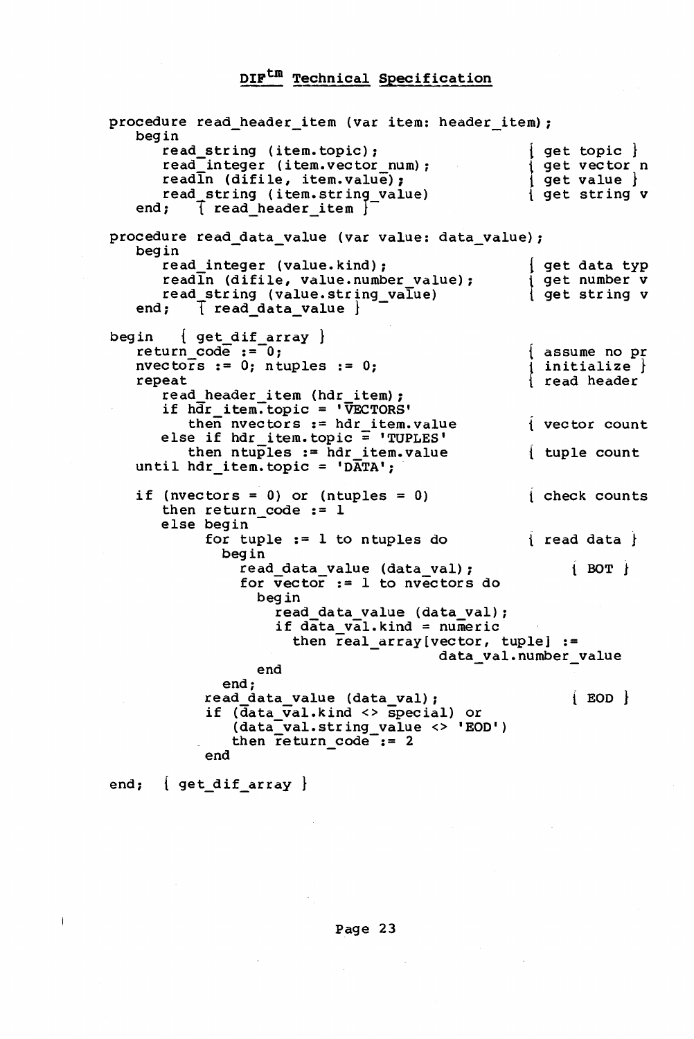procedure read\_header\_item (var item: header\_item);<br>begin begin  $\overline{\phantom{a}}$  read\_string (item.topic); read<sup>-</sup>integer (item.vector num); readln (difile, item.value); read string (item.string\_value)<br>end;  $\begin{array}{c} \uparrow$  read header item  $\end{array}$  $\lceil$  read header item  $\rceil$  $\left\{\begin{array}{l} \texttt{get topic} \ \texttt{get vector}\ \texttt{n} \ \texttt{get value}\ \end{array}\right.$ t get str ing v procedure read\_data\_value (var value: data\_value);<br>begin read integer (value. kind) ;  $read\overline{1}n$  (difile, value.number value); read string (value.string\_value)<br>end: T read data value }  $\lceil$  read data value  $\rfloor$ begin {get dif array } return code  $:=0;$ nvectors  $:= 0;$  ntuples  $:= 0;$ repeat read header item (hdr item); if hdr item~topic = 'VEcTORS' then nvectors := hdr\_item.value<br>else if hdr\_item.topic = 'TUPLES' then  $ntu\bar{p}$ les := hdr item.value until hdr item.topic = 'DATA'; if (nvectors =  $0$ ) or (ntuples =  $0$ ) then return code := <sup>1</sup> else begin { get data typ } get number v  $\int$  get string  $v$ assume no pr initialize } read header vector count tuple count check counts for tuple  $:= 1$  to ntuples do  $\{$  read data  $\}$ begin read data value (data val) ;  $\overrightarrow{BOT}$ for  $\overline{v}$  ector := 1 to nvectors do begin read data value (data val) ; if data val. kind = numeric then real\_array[vector, tuple] :=<br>data val.number value end end; read\_data\_value (data\_val);<br>if (data\_val.kind <> special) or  $(data_Val.string_value < > 'EOD')$ then return  $code$ := 2  $end$ end;  $\{ get\_dif\_array\}$  $\{$  EOD  $\}$